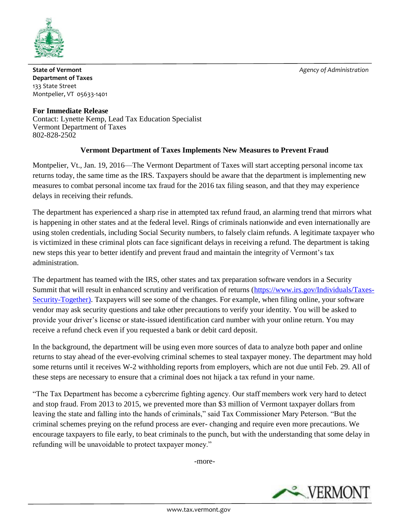

**State of Vermont** *Agency of Administration* **<b>***Agency of Administration* **Department of Taxes** 133 State Street Montpelier, VT 05633-1401

**For Immediate Release** Contact: Lynette Kemp, Lead Tax Education Specialist Vermont Department of Taxes 802-828-2502

## **Vermont Department of Taxes Implements New Measures to Prevent Fraud**

Montpelier, Vt., Jan. 19, 2016—The Vermont Department of Taxes will start accepting personal income tax returns today, the same time as the IRS. Taxpayers should be aware that the department is implementing new measures to combat personal income tax fraud for the 2016 tax filing season, and that they may experience delays in receiving their refunds.

The department has experienced a sharp rise in attempted tax refund fraud, an alarming trend that mirrors what is happening in other states and at the federal level. Rings of criminals nationwide and even internationally are using stolen credentials, including Social Security numbers, to falsely claim refunds. A legitimate taxpayer who is victimized in these criminal plots can face significant delays in receiving a refund. The department is taking new steps this year to better identify and prevent fraud and maintain the integrity of Vermont's tax administration.

The department has teamed with the IRS, other states and tax preparation software vendors in a Security Summit that will result in enhanced scrutiny and verification of returns [\(https://www.irs.gov/Individuals/Taxes-](https://www.irs.gov/Individuals/Taxes-Security-Together)[Security-Together\)](https://www.irs.gov/Individuals/Taxes-Security-Together). Taxpayers will see some of the changes. For example, when filing online, your software vendor may ask security questions and take other precautions to verify your identity. You will be asked to provide your driver's license or state-issued identification card number with your online return. You may receive a refund check even if you requested a bank or debit card deposit.

In the background, the department will be using even more sources of data to analyze both paper and online returns to stay ahead of the ever-evolving criminal schemes to steal taxpayer money. The department may hold some returns until it receives W-2 withholding reports from employers, which are not due until Feb. 29. All of these steps are necessary to ensure that a criminal does not hijack a tax refund in your name.

"The Tax Department has become a cybercrime fighting agency. Our staff members work very hard to detect and stop fraud. From 2013 to 2015, we prevented more than \$3 million of Vermont taxpayer dollars from leaving the state and falling into the hands of criminals," said Tax Commissioner Mary Peterson. "But the criminal schemes preying on the refund process are ever- changing and require even more precautions. We encourage taxpayers to file early, to beat criminals to the punch, but with the understanding that some delay in refunding will be unavoidable to protect taxpayer money."

-more-